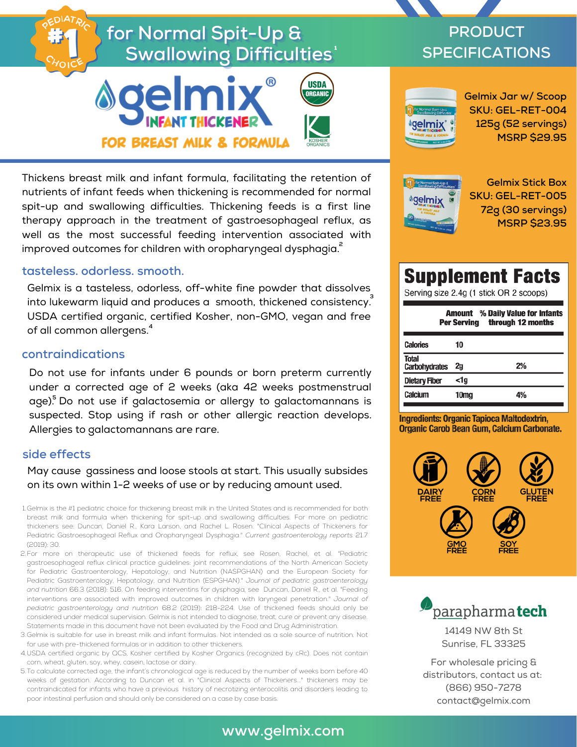# for Normal Spit-Up &  $\boldsymbol{\mathsf{Swallowing}}$  Difficulties $^{\text{-}}$





Thickens breast milk and infant formula, facilitating the retention of nutrients of infant feeds when thickening is recommended for normal spit-up and swallowing difficulties. Thickening feeds is a first line therapy approach in the treatment of gastroesophageal reflux, as well as the most successful feeding intervention associated with improved outcomes for children with oropharyngeal dysphagia. **2**

#### **tasteless. odorless. smooth.**

Gelmix is a tasteless, odorless, off-white fine powder that dissolves into lukewarm liquid and produces a smooth, thickened consistency. **3** USDA certified organic, certified Kosher, non-GMO, vegan and free of all common allergens. **4**

#### **contraindications**

Do not use for infants under 6 pounds or born preterm currently under a corrected age of 2 weeks (aka 42 weeks postmenstrual age).<sup>5</sup> Do not use if galactosemia or allergy to galactomannans is suspected. Stop using if rash or other allergic reaction develops. Allergies to galactomannans are rare.

#### **side effects**

May cause gassiness and loose stools at start. This usually subsides on its own within 1-2 weeks of use or by reducing amount used.

- 1. Gelmix is the #1 pediatric choice for thickening breast milk in the United States and is recommended for both breast milk and formula when thickening for spit-up and swallowing difficulties. For more on pediatric thickeners see: Duncan, Daniel R., Kara Larson, and Rachel L. Rosen. "Clinical Aspects of Thickeners for Pediatric Gastroesophageal Reflux and Oropharyngeal Dysphagia." *Current gastroenterology reports* 21.7 (2019): 30.
- For more on therapeutic use of thickened feeds for reflux, see Rosen, Rachel, et al. "Pediatric 2. gastroesophageal reflux clinical practice guidelines: joint recommendations of the North American Society for Pediatric Gastroenterology, Hepatology, and Nutrition (NASPGHAN) and the European Society for Pediatric Gastroenterology, Hepatology, and Nutrition (ESPGHAN)." *Journal of pediatric gastroenterology and nutrition* 66.3 (2018): 516. On feeding interventins for dysphagia, see Duncan, Daniel R., et al. "Feeding interventions are associated with improved outcomes in children with laryngeal penetration." *Journal of pediatric gastroenterology and nutrition* 68.2 (2019): 218-224. Use of thickened feeds should only be considered under medical supervision. Gelmix is not intended to diagnose, treat, cure or prevent any disease. Statements made in this document have not been evaluated by the Food and Drug Administration.
- Gelmix is suitable for use in breast milk and infant formulas. Not intended as a sole source of nutrition. Not 3. for use with pre-thickened formulas or in addition to other thickeners.
- USDA certified organic by QCS, Kosher certified by Kosher Organics (recognized by cRc). Does not contain 4. corn, wheat, gluten, soy, whey, casein, lactose or dairy.
- 5. To calculate corrected age, the infant's chronological age is reduced by the number of weeks born before 40 weeks of gestation. According to Duncan et al. in "Clinical Aspects of Thickeners..." thickeners may be contraindicated for infants who have a previous history of necrotizing enterocolitis and disorders leading to poor intestinal perfusion and should only be considered on a case by case basis.

# **PRODUCT SPECIFICATIONS**



**Gelmix Jar w/ Scoop SKU: GEL-RET-004 125g (52 servings) MSRP \$29.95**



**Gelmix Stick Box SKU: GEL-RET-005 72g (30 servings) MSRP \$23.95**

# **Supplement Facts**

Serving size 2.4g (1 stick OR 2 scoops)

| <b>Amount</b> % Daily Value for Infants<br>through 12 months<br><b>Per Serving</b> |      |    |
|------------------------------------------------------------------------------------|------|----|
| <b>Calories</b>                                                                    | 10   |    |
| <b>Total</b><br><b>Carbohydrates</b>                                               | 2g   | 2% |
| <b>Dietary Fiber</b>                                                               | <1a  |    |
| Calcium                                                                            | 10mg |    |

Ingredients: Organic Tapioca Maltodextrin, **Organic Carob Bean Gum, Calcium Carbonate.** 





14149 NW 8th St Sunrise, FL 33325

For wholesale pricing & distributors, contact us at: (866) 950-7278 contact@gelmix.com

### **www.gelmix.com**